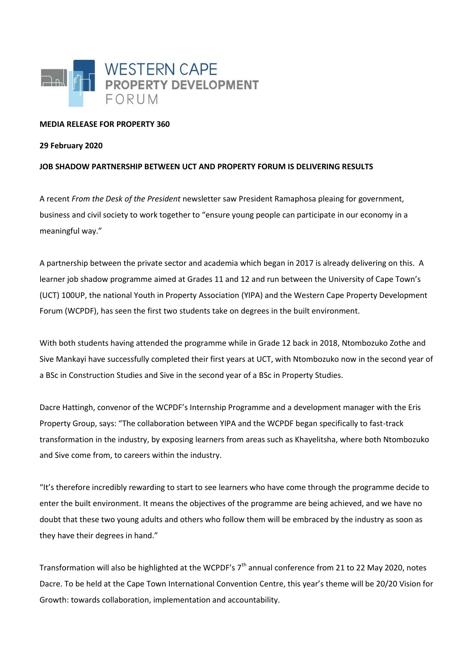

## **MEDIA RELEASE FOR PROPERTY 360**

## **29 February 2020**

## **JOB SHADOW PARTNERSHIP BETWEEN UCT AND PROPERTY FORUM IS DELIVERING RESULTS**

A recent *From the Desk of the President* newsletter saw President Ramaphosa pleaing for government, business and civil society to work together to "ensure young people can participate in our economy in a meaningful way."

A partnership between the private sector and academia which began in 2017 is already delivering on this. A learner job shadow programme aimed at Grades 11 and 12 and run between the University of Cape Town's (UCT) 100UP, the national Youth in Property Association (YIPA) and the Western Cape Property Development Forum (WCPDF), has seen the first two students take on degrees in the built environment.

With both students having attended the programme while in Grade 12 back in 2018, Ntombozuko Zothe and Sive Mankayi have successfully completed their first years at UCT, with Ntombozuko now in the second year of a BSc in Construction Studies and Sive in the second year of a BSc in Property Studies.

Dacre Hattingh, convenor of the WCPDF's Internship Programme and a development manager with the Eris Property Group, says: "The collaboration between YIPA and the WCPDF began specifically to fast-track transformation in the industry, by exposing learners from areas such as Khayelitsha, where both Ntombozuko and Sive come from, to careers within the industry.

"It's therefore incredibly rewarding to start to see learners who have come through the programme decide to enter the built environment. It means the objectives of the programme are being achieved, and we have no doubt that these two young adults and others who follow them will be embraced by the industry as soon as they have their degrees in hand."

Transformation will also be highlighted at the WCPDF's  $7<sup>th</sup>$  annual conference from 21 to 22 May 2020, notes Dacre. To be held at the Cape Town International Convention Centre, this year's theme will be 20/20 Vision for Growth: towards collaboration, implementation and accountability.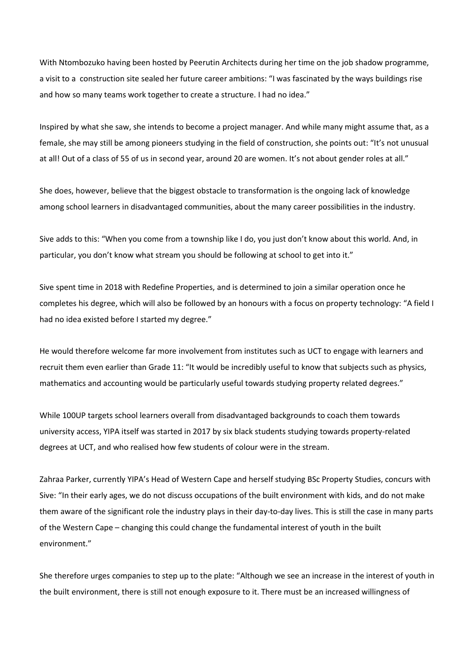With Ntombozuko having been hosted by Peerutin Architects during her time on the job shadow programme, a visit to a construction site sealed her future career ambitions: "I was fascinated by the ways buildings rise and how so many teams work together to create a structure. I had no idea."

Inspired by what she saw, she intends to become a project manager. And while many might assume that, as a female, she may still be among pioneers studying in the field of construction, she points out: "It's not unusual at all! Out of a class of 55 of us in second year, around 20 are women. It's not about gender roles at all."

She does, however, believe that the biggest obstacle to transformation is the ongoing lack of knowledge among school learners in disadvantaged communities, about the many career possibilities in the industry.

Sive adds to this: "When you come from a township like I do, you just don't know about this world. And, in particular, you don't know what stream you should be following at school to get into it."

Sive spent time in 2018 with Redefine Properties, and is determined to join a similar operation once he completes his degree, which will also be followed by an honours with a focus on property technology: "A field I had no idea existed before I started my degree."

He would therefore welcome far more involvement from institutes such as UCT to engage with learners and recruit them even earlier than Grade 11: "It would be incredibly useful to know that subjects such as physics, mathematics and accounting would be particularly useful towards studying property related degrees."

While 100UP targets school learners overall from disadvantaged backgrounds to coach them towards university access, YIPA itself was started in 2017 by six black students studying towards property-related degrees at UCT, and who realised how few students of colour were in the stream.

Zahraa Parker, currently YIPA's Head of Western Cape and herself studying BSc Property Studies, concurs with Sive: "In their early ages, we do not discuss occupations of the built environment with kids, and do not make them aware of the significant role the industry plays in their day-to-day lives. This is still the case in many parts of the Western Cape – changing this could change the fundamental interest of youth in the built environment."

She therefore urges companies to step up to the plate: "Although we see an increase in the interest of youth in the built environment, there is still not enough exposure to it. There must be an increased willingness of